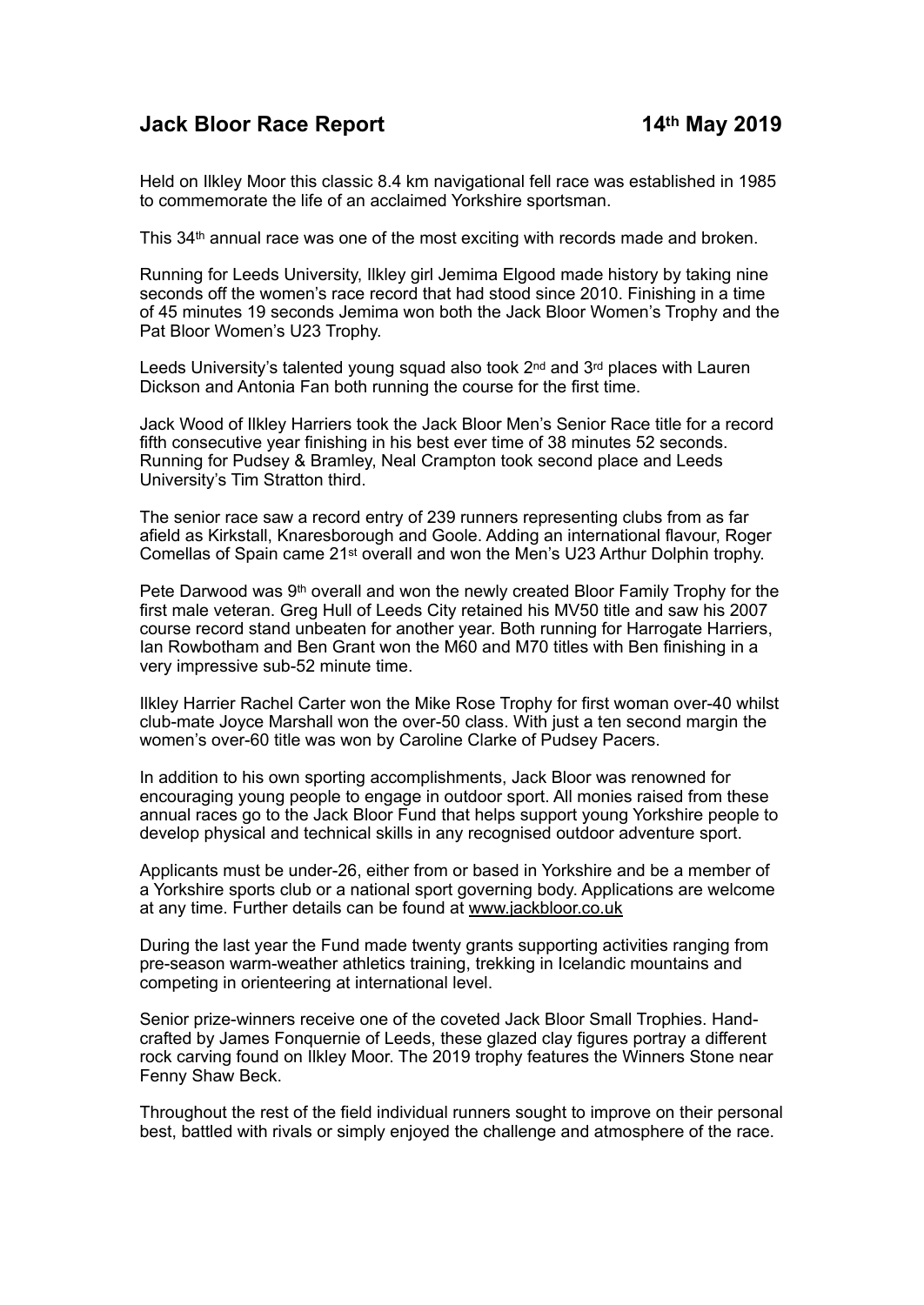## **Jack Bloor Race Report 14th May 2019**

Held on Ilkley Moor this classic 8.4 km navigational fell race was established in 1985 to commemorate the life of an acclaimed Yorkshire sportsman.

This 34th annual race was one of the most exciting with records made and broken.

Running for Leeds University, Ilkley girl Jemima Elgood made history by taking nine seconds off the women's race record that had stood since 2010. Finishing in a time of 45 minutes 19 seconds Jemima won both the Jack Bloor Women's Trophy and the Pat Bloor Women's U23 Trophy.

Leeds University's talented young squad also took  $2<sup>nd</sup>$  and  $3<sup>rd</sup>$  places with Lauren Dickson and Antonia Fan both running the course for the first time.

Jack Wood of Ilkley Harriers took the Jack Bloor Men's Senior Race title for a record fifth consecutive year finishing in his best ever time of 38 minutes 52 seconds. Running for Pudsey & Bramley, Neal Crampton took second place and Leeds University's Tim Stratton third.

The senior race saw a record entry of 239 runners representing clubs from as far afield as Kirkstall, Knaresborough and Goole. Adding an international flavour, Roger Comellas of Spain came 21st overall and won the Men's U23 Arthur Dolphin trophy.

Pete Darwood was 9th overall and won the newly created Bloor Family Trophy for the first male veteran. Greg Hull of Leeds City retained his MV50 title and saw his 2007 course record stand unbeaten for another year. Both running for Harrogate Harriers, Ian Rowbotham and Ben Grant won the M60 and M70 titles with Ben finishing in a very impressive sub-52 minute time.

Ilkley Harrier Rachel Carter won the Mike Rose Trophy for first woman over-40 whilst club-mate Joyce Marshall won the over-50 class. With just a ten second margin the women's over-60 title was won by Caroline Clarke of Pudsey Pacers.

In addition to his own sporting accomplishments, Jack Bloor was renowned for encouraging young people to engage in outdoor sport. All monies raised from these annual races go to the Jack Bloor Fund that helps support young Yorkshire people to develop physical and technical skills in any recognised outdoor adventure sport.

Applicants must be under-26, either from or based in Yorkshire and be a member of a Yorkshire sports club or a national sport governing body. Applications are welcome at any time. Further details can be found at [www.jackbloor.co.uk](http://www.jackbloor.co.uk)

During the last year the Fund made twenty grants supporting activities ranging from pre-season warm-weather athletics training, trekking in Icelandic mountains and competing in orienteering at international level.

Senior prize-winners receive one of the coveted Jack Bloor Small Trophies. Handcrafted by James Fonquernie of Leeds, these glazed clay figures portray a different rock carving found on Ilkley Moor. The 2019 trophy features the Winners Stone near Fenny Shaw Beck.

Throughout the rest of the field individual runners sought to improve on their personal best, battled with rivals or simply enjoyed the challenge and atmosphere of the race.